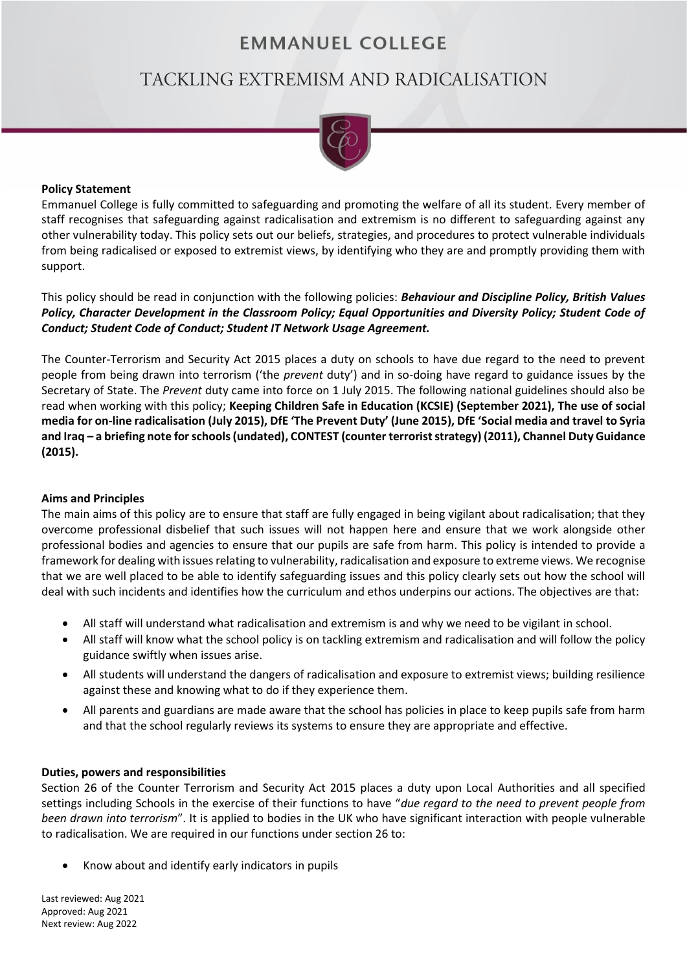# **EMMANUEL COLLEGE**

# TACKLING EXTREMISM AND RADICALISATION



#### **Policy Statement**

Emmanuel College is fully committed to safeguarding and promoting the welfare of all its student. Every member of staff recognises that safeguarding against radicalisation and extremism is no different to safeguarding against any other vulnerability today. This policy sets out our beliefs, strategies, and procedures to protect vulnerable individuals from being radicalised or exposed to extremist views, by identifying who they are and promptly providing them with support.

This policy should be read in conjunction with the following policies: *Behaviour and Discipline Policy, British Values Policy, Character Development in the Classroom Policy; Equal Opportunities and Diversity Policy; Student Code of Conduct; Student Code of Conduct; Student IT Network Usage Agreement.*

The Counter-Terrorism and Security Act 2015 places a duty on schools to have due regard to the need to prevent people from being drawn into terrorism ('the *prevent* duty') and in so-doing have regard to guidance issues by the Secretary of State. The *Prevent* duty came into force on 1 July 2015. The following national guidelines should also be read when working with this policy; **Keeping Children Safe in Education (KCSIE) (September 2021), The use of social media for on-line radicalisation (July 2015), DfE 'The Prevent Duty' (June 2015), DfE 'Social media and travel to Syria and Iraq – a briefing note for schools (undated), CONTEST (counter terrorist strategy) (2011), Channel Duty Guidance (2015).**

# **Aims and Principles**

The main aims of this policy are to ensure that staff are fully engaged in being vigilant about radicalisation; that they overcome professional disbelief that such issues will not happen here and ensure that we work alongside other professional bodies and agencies to ensure that our pupils are safe from harm. This policy is intended to provide a framework for dealing with issues relating to vulnerability, radicalisation and exposure to extreme views. We recognise that we are well placed to be able to identify safeguarding issues and this policy clearly sets out how the school will deal with such incidents and identifies how the curriculum and ethos underpins our actions. The objectives are that:

- All staff will understand what radicalisation and extremism is and why we need to be vigilant in school.
- All staff will know what the school policy is on tackling extremism and radicalisation and will follow the policy guidance swiftly when issues arise.
- All students will understand the dangers of radicalisation and exposure to extremist views; building resilience against these and knowing what to do if they experience them.
- All parents and guardians are made aware that the school has policies in place to keep pupils safe from harm and that the school regularly reviews its systems to ensure they are appropriate and effective.

# **Duties, powers and responsibilities**

Section 26 of the Counter Terrorism and Security Act 2015 places a duty upon Local Authorities and all specified settings including Schools in the exercise of their functions to have "*due regard to the need to prevent people from been drawn into terrorism*". It is applied to bodies in the UK who have significant interaction with people vulnerable to radicalisation. We are required in our functions under section 26 to:

• Know about and identify early indicators in pupils

Last reviewed: Aug 2021 Approved: Aug 2021 Next review: Aug 2022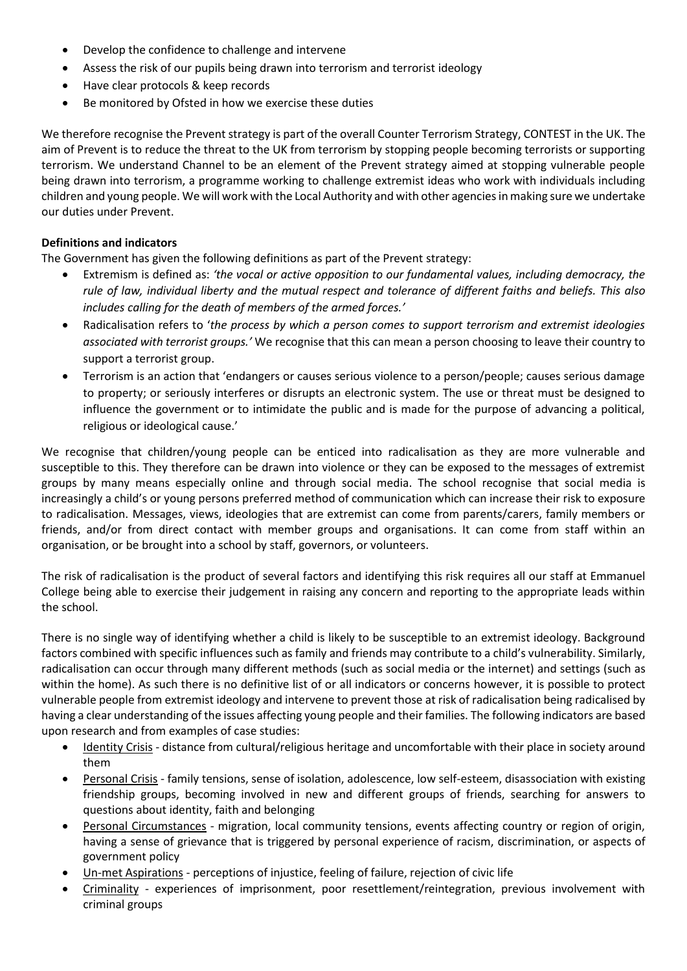- Develop the confidence to challenge and intervene
- Assess the risk of our pupils being drawn into terrorism and terrorist ideology
- Have clear protocols & keep records
- Be monitored by Ofsted in how we exercise these duties

We therefore recognise the Prevent strategy is part of the overall Counter Terrorism Strategy, CONTEST in the UK. The aim of Prevent is to reduce the threat to the UK from terrorism by stopping people becoming terrorists or supporting terrorism. We understand Channel to be an element of the Prevent strategy aimed at stopping vulnerable people being drawn into terrorism, a programme working to challenge extremist ideas who work with individuals including children and young people. We will work with the Local Authority and with other agencies in making sure we undertake our duties under Prevent.

#### **Definitions and indicators**

The Government has given the following definitions as part of the Prevent strategy:

- Extremism is defined as: *'the vocal or active opposition to our fundamental values, including democracy, the rule of law, individual liberty and the mutual respect and tolerance of different faiths and beliefs. This also includes calling for the death of members of the armed forces.'*
- Radicalisation refers to '*the process by which a person comes to support terrorism and extremist ideologies associated with terrorist groups.'* We recognise that this can mean a person choosing to leave their country to support a terrorist group.
- Terrorism is an action that 'endangers or causes serious violence to a person/people; causes serious damage to property; or seriously interferes or disrupts an electronic system. The use or threat must be designed to influence the government or to intimidate the public and is made for the purpose of advancing a political, religious or ideological cause.'

We recognise that children/young people can be enticed into radicalisation as they are more vulnerable and susceptible to this. They therefore can be drawn into violence or they can be exposed to the messages of extremist groups by many means especially online and through social media. The school recognise that social media is increasingly a child's or young persons preferred method of communication which can increase their risk to exposure to radicalisation. Messages, views, ideologies that are extremist can come from parents/carers, family members or friends, and/or from direct contact with member groups and organisations. It can come from staff within an organisation, or be brought into a school by staff, governors, or volunteers.

The risk of radicalisation is the product of several factors and identifying this risk requires all our staff at Emmanuel College being able to exercise their judgement in raising any concern and reporting to the appropriate leads within the school.

There is no single way of identifying whether a child is likely to be susceptible to an extremist ideology. Background factors combined with specific influences such as family and friends may contribute to a child's vulnerability. Similarly, radicalisation can occur through many different methods (such as social media or the internet) and settings (such as within the home). As such there is no definitive list of or all indicators or concerns however, it is possible to protect vulnerable people from extremist ideology and intervene to prevent those at risk of radicalisation being radicalised by having a clear understanding of the issues affecting young people and their families. The following indicators are based upon research and from examples of case studies:

- Identity Crisis distance from cultural/religious heritage and uncomfortable with their place in society around them
- Personal Crisis family tensions, sense of isolation, adolescence, low self-esteem, disassociation with existing friendship groups, becoming involved in new and different groups of friends, searching for answers to questions about identity, faith and belonging
- Personal Circumstances migration, local community tensions, events affecting country or region of origin, having a sense of grievance that is triggered by personal experience of racism, discrimination, or aspects of government policy
- Un-met Aspirations perceptions of injustice, feeling of failure, rejection of civic life
- Criminality experiences of imprisonment, poor resettlement/reintegration, previous involvement with criminal groups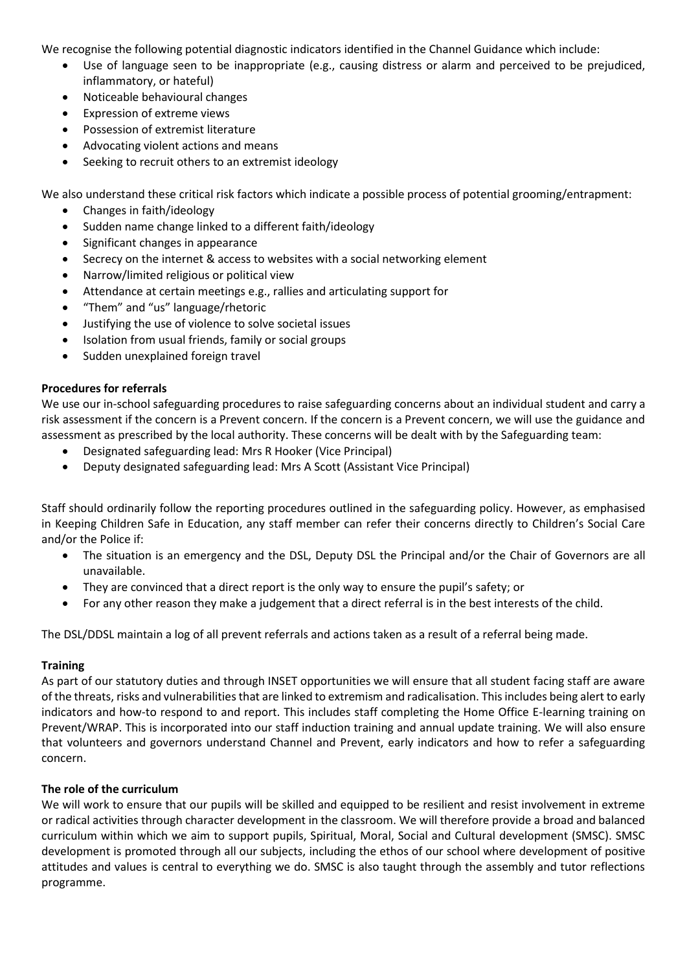We recognise the following potential diagnostic indicators identified in the Channel Guidance which include:

- Use of language seen to be inappropriate (e.g., causing distress or alarm and perceived to be prejudiced, inflammatory, or hateful)
- Noticeable behavioural changes
- Expression of extreme views
- Possession of extremist literature
- Advocating violent actions and means
- Seeking to recruit others to an extremist ideology

We also understand these critical risk factors which indicate a possible process of potential grooming/entrapment:

- Changes in faith/ideology
- Sudden name change linked to a different faith/ideology
- Significant changes in appearance
- Secrecy on the internet & access to websites with a social networking element
- Narrow/limited religious or political view
- Attendance at certain meetings e.g., rallies and articulating support for
- "Them" and "us" language/rhetoric
- Justifying the use of violence to solve societal issues
- Isolation from usual friends, family or social groups
- Sudden unexplained foreign travel

#### **Procedures for referrals**

We use our in-school safeguarding procedures to raise safeguarding concerns about an individual student and carry a risk assessment if the concern is a Prevent concern. If the concern is a Prevent concern, we will use the guidance and assessment as prescribed by the local authority. These concerns will be dealt with by the Safeguarding team:

- Designated safeguarding lead: Mrs R Hooker (Vice Principal)
- Deputy designated safeguarding lead: Mrs A Scott (Assistant Vice Principal)

Staff should ordinarily follow the reporting procedures outlined in the safeguarding policy. However, as emphasised in Keeping Children Safe in Education, any staff member can refer their concerns directly to Children's Social Care and/or the Police if:

- The situation is an emergency and the DSL, Deputy DSL the Principal and/or the Chair of Governors are all unavailable.
- They are convinced that a direct report is the only way to ensure the pupil's safety; or
- For any other reason they make a judgement that a direct referral is in the best interests of the child.

The DSL/DDSL maintain a log of all prevent referrals and actions taken as a result of a referral being made.

# **Training**

As part of our statutory duties and through INSET opportunities we will ensure that all student facing staff are aware of the threats, risks and vulnerabilities that are linked to extremism and radicalisation. This includes being alert to early indicators and how-to respond to and report. This includes staff completing the Home Office E-learning training on Prevent/WRAP. This is incorporated into our staff induction training and annual update training. We will also ensure that volunteers and governors understand Channel and Prevent, early indicators and how to refer a safeguarding concern.

# **The role of the curriculum**

We will work to ensure that our pupils will be skilled and equipped to be resilient and resist involvement in extreme or radical activities through character development in the classroom. We will therefore provide a broad and balanced curriculum within which we aim to support pupils, Spiritual, Moral, Social and Cultural development (SMSC). SMSC development is promoted through all our subjects, including the ethos of our school where development of positive attitudes and values is central to everything we do. SMSC is also taught through the assembly and tutor reflections programme.